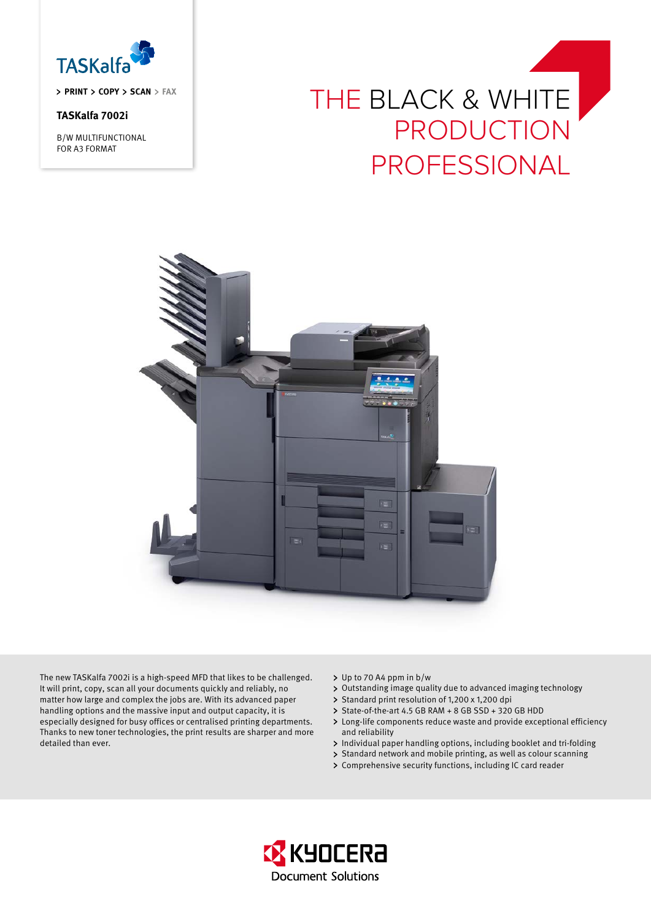

**priNT Copy Scan fax**

# **TASKalfa 7002i**

B/W MULTIFUNCTIONAL FOR A3 FORMAT





The new TASKalfa 7002i is a high-speed MFD that likes to be challenged. It will print, copy, scan all your documents quickly and reliably, no matter how large and complex the jobs are. With its advanced paper handling options and the massive input and output capacity, it is especially designed for busy offices or centralised printing departments. Thanks to new toner technologies, the print results are sharper and more detailed than ever.

- > Up to 70 A4 ppm in b/w
- Outstanding image quality due to advanced imaging technology
- > Standard print resolution of 1,200 x 1,200 dpi
- > State-of-the-art 4.5 GB RAM + 8 GB SSD + 320 GB HDD
- Long-life components reduce waste and provide exceptional efficiency and reliability
- > Individual paper handling options, including booklet and tri-folding
- > Standard network and mobile printing, as well as colour scanning
- Comprehensive security functions, including IC card reader